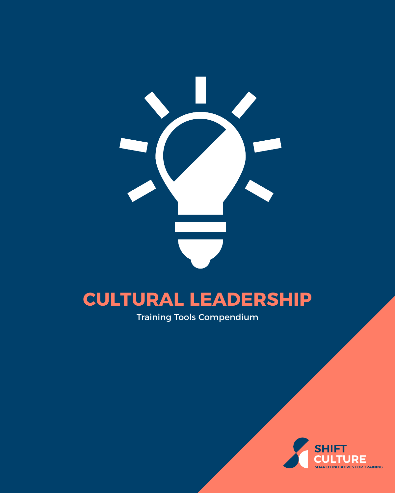

# **CULTURAL LEADERSHIP**

Training Tools Compendium

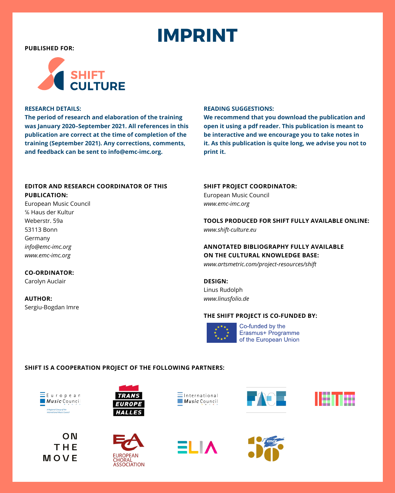# **IMPRINT**

<span id="page-1-0"></span>**PUBLISHED FOR:**



## **RESEARCH DETAILS:**

**The period of research and elaboration of the training was January 2020–September 2021. All references in this publication are correct at the time of completion of the training (September 2021). Any corrections, comments, and feedback can be sent to [info@emc-imc.org.](mailto:info%40emc-imc.org?subject=SHIFT%20Environmental%20Sustainability)**

### **READING SUGGESTIONS:**

**We recommend that you download the publication and open it using a pdf reader. This publication is meant to be interactive and we encourage you to take notes in it. As this publication is quite long, we advise you not to print it.**

# **EDITOR AND RESEARCH COORDINATOR OF THIS PUBLICATION:**

European Music Council ℅ Haus der Kultur Weberstr. 59a 53113 Bonn Germany *[info@emc-imc.org](mailto:info%40emc-imc.org%20?subject=Shift%20-%20Cultural%20Leadership) [www.emc-imc.org](http://www.emc-imc.org )*

**CO-ORDINATOR:**  Carolyn Auclair

Sergiu-Bogdan Imre

**AUTHOR:**

# **SHIFT PROJECT COORDINATOR:**

European Music Council *[www.emc-imc.org](http://www.emc-imc.org)*

**TOOLS PRODUCED FOR SHIFT FULLY AVAILABLE ONLINE:** *[www.shift-culture.eu](http://www.shift-culture.eu)*

**ANNOTATED BIBLIOGRAPHY FULLY AVAILABLE ON THE CULTURAL KNOWLEDGE BASE:**

*[www.artsmetric.com/project-resources/shift](http://www.artsmetric.com/project-resources/shift)*

**DESIGN:** Linus Rudolph *[www.linusfolio.de](http://www.linusfolio.de)*

## **THE SHIFT PROJECT IS CO-FUNDED BY:**



Co-funded by the Erasmus+ Programme of the European Union

# **SHIFT IS A COOPERATION PROJECT OF THE FOLLOWING PARTNERS:**







**EUROPE HALLES** 













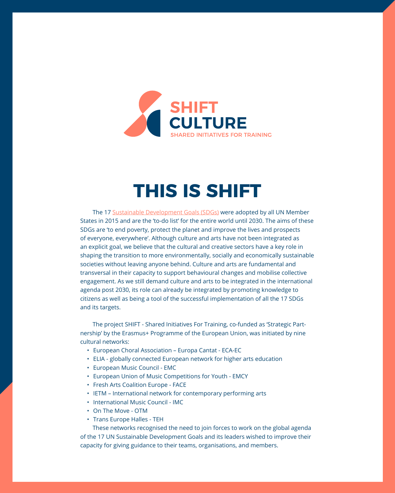<span id="page-2-0"></span>

# **THIS IS SHIFT**

The 17 [Sustainable Development Goals \(SDGs\)](https://www.un.org/sustainabledevelopment/development-agenda/) were adopted by all UN Member States in 2015 and are the 'to-do list' for the entire world until 2030. The aims of these SDGs are 'to end poverty, protect the planet and improve the lives and prospects of everyone, everywhere'. Although culture and arts have not been integrated as an explicit goal, we believe that the cultural and creative sectors have a key role in shaping the transition to more environmentally, socially and economically sustainable societies without leaving anyone behind. Culture and arts are fundamental and transversal in their capacity to support behavioural changes and mobilise collective engagement. As we still demand culture and arts to be integrated in the international agenda post 2030, its role can already be integrated by promoting knowledge to citizens as well as being a tool of the successful implementation of all the 17 SDGs and its targets.

The project SHIFT - Shared Initiatives For Training, co-funded as 'Strategic Partnership' by the Erasmus+ Programme of the European Union, was initiated by nine cultural networks:

- European Choral Association Europa Cantat ECA-EC
- ELIA globally connected European network for higher arts education
- European Music Council EMC
- European Union of Music Competitions for Youth EMCY
- Fresh Arts Coalition Europe FACE
- IETM International network for contemporary performing arts
- International Music Council IMC
- On The Move OTM
- Trans Europe Halles TEH

These networks recognised the need to join forces to work on the global agenda of the 17 UN Sustainable Development Goals and its leaders wished to improve their capacity for giving guidance to their teams, organisations, and members.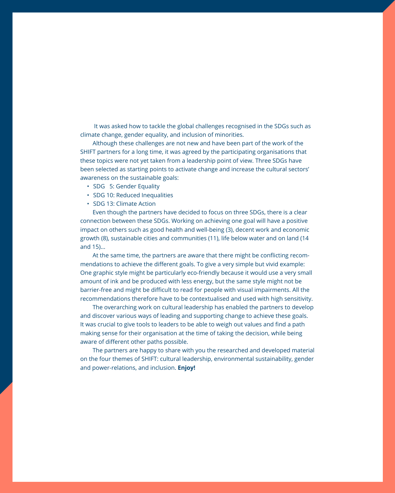It was asked how to tackle the global challenges recognised in the SDGs such as climate change, gender equality, and inclusion of minorities.

Although these challenges are not new and have been part of the work of the SHIFT partners for a long time, it was agreed by the participating organisations that these topics were not yet taken from a leadership point of view. Three SDGs have been selected as starting points to activate change and increase the cultural sectors' awareness on the sustainable goals:

- SDG 5: Gender Equality
- SDG 10: Reduced Inequalities
- SDG 13: Climate Action

Even though the partners have decided to focus on three SDGs, there is a clear connection between these SDGs. Working on achieving one goal will have a positive impact on others such as good health and well-being (3), decent work and economic growth (8), sustainable cities and communities (11), life below water and on land (14 and 15)...

At the same time, the partners are aware that there might be conflicting recommendations to achieve the different goals. To give a very simple but vivid example: One graphic style might be particularly eco-friendly because it would use a very small amount of ink and be produced with less energy, but the same style might not be barrier-free and might be difficult to read for people with visual impairments. All the recommendations therefore have to be contextualised and used with high sensitivity.

The overarching work on cultural leadership has enabled the partners to develop and discover various ways of leading and supporting change to achieve these goals. It was crucial to give tools to leaders to be able to weigh out values and find a path making sense for their organisation at the time of taking the decision, while being aware of different other paths possible.

The partners are happy to share with you the researched and developed material on the four themes of SHIFT: cultural leadership, environmental sustainability, gender and power-relations, and inclusion. **Enjoy!**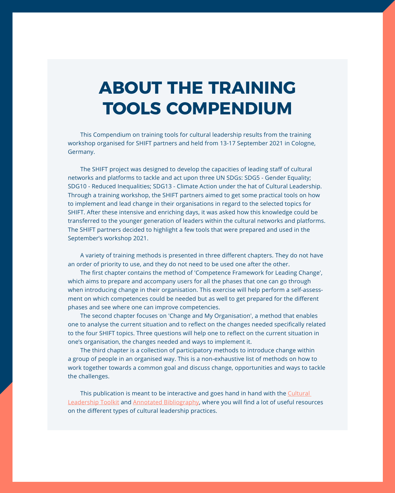# <span id="page-4-0"></span>**ABOUT THE TRAINING TOOLS COMPENDIUM**

This Compendium on training tools for cultural leadership results from the training workshop organised for SHIFT partners and held from 13-17 September 2021 in Cologne, Germany.

The SHIFT project was designed to develop the capacities of leading staff of cultural networks and platforms to tackle and act upon three UN SDGs: SDG5 - Gender Equality; SDG10 - Reduced Inequalities; SDG13 - Climate Action under the hat of Cultural Leadership. Through a training workshop, the SHIFT partners aimed to get some practical tools on how to implement and lead change in their organisations in regard to the selected topics for SHIFT. After these intensive and enriching days, it was asked how this knowledge could be transferred to the younger generation of leaders within the cultural networks and platforms. The SHIFT partners decided to highlight a few tools that were prepared and used in the September's workshop 2021.

A variety of training methods is presented in three different chapters. They do not have an order of priority to use, and they do not need to be used one after the other.

The first chapter contains the method of 'Competence Framework for Leading Change', which aims to prepare and accompany users for all the phases that one can go through when introducing change in their organisation. This exercise will help perform a self-assessment on which competences could be needed but as well to get prepared for the different phases and see where one can improve competencies.

The second chapter focuses on 'Change and My Organisation', a method that enables one to analyse the current situation and to reflect on the changes needed specifically related to the four SHIFT topics. Three questions will help one to reflect on the current situation in one's organisation, the changes needed and ways to implement it.

The third chapter is a collection of participatory methods to introduce change within a group of people in an organised way. This is a non-exhaustive list of methods on how to work together towards a common goal and discuss change, opportunities and ways to tackle the challenges.

This publication is meant to be interactive and goes hand in hand with the Cultural [Leadership Toolkit](https://shift-culture.eu/training-on-cultural-leadership/cultural-leadership-toolkit/) and [Annotated Bibliography](https://shift-culture.eu/training-on-cultural-leadership/cultural-leadership-annotated-bibliography/), where you will find a lot of useful resources on the different types of cultural leadership practices.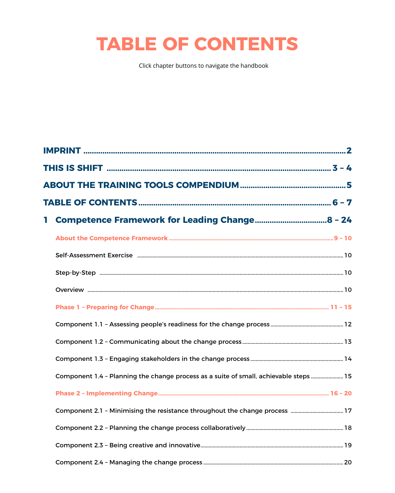# **TABLE OF CONTENTS**

Click chapter buttons to navigate the handbook

| Т. |                                                                                      |  |  |  |  |
|----|--------------------------------------------------------------------------------------|--|--|--|--|
|    |                                                                                      |  |  |  |  |
|    |                                                                                      |  |  |  |  |
|    |                                                                                      |  |  |  |  |
|    |                                                                                      |  |  |  |  |
|    |                                                                                      |  |  |  |  |
|    |                                                                                      |  |  |  |  |
|    |                                                                                      |  |  |  |  |
|    |                                                                                      |  |  |  |  |
|    | Component 1.4 - Planning the change process as a suite of small, achievable steps 15 |  |  |  |  |
|    |                                                                                      |  |  |  |  |
|    |                                                                                      |  |  |  |  |
|    |                                                                                      |  |  |  |  |
|    |                                                                                      |  |  |  |  |
|    |                                                                                      |  |  |  |  |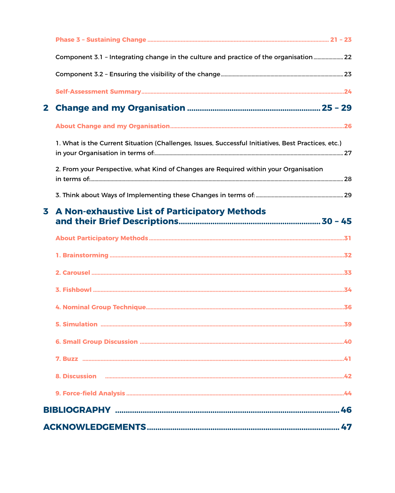|              | Component 3.1 - Integrating change in the culture and practice of the organisation  22              |  |  |
|--------------|-----------------------------------------------------------------------------------------------------|--|--|
|              |                                                                                                     |  |  |
|              |                                                                                                     |  |  |
| $\mathbf{2}$ |                                                                                                     |  |  |
|              |                                                                                                     |  |  |
|              | 1. What is the Current Situation (Challenges, Issues, Successful Initiatives, Best Practices, etc.) |  |  |
|              | 2. From your Perspective, what Kind of Changes are Required within your Organisation                |  |  |
|              |                                                                                                     |  |  |
| 3            | A Non-exhaustive List of Participatory Methods                                                      |  |  |
|              |                                                                                                     |  |  |
|              |                                                                                                     |  |  |
|              |                                                                                                     |  |  |
|              |                                                                                                     |  |  |
|              |                                                                                                     |  |  |
|              |                                                                                                     |  |  |
|              |                                                                                                     |  |  |
|              |                                                                                                     |  |  |
|              |                                                                                                     |  |  |
|              |                                                                                                     |  |  |
| 46           |                                                                                                     |  |  |
| 47           |                                                                                                     |  |  |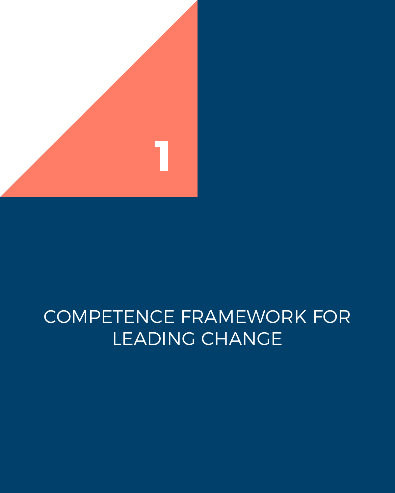<span id="page-7-0"></span>

# COMPETENCE FRAMEWORK FOR LEADING CHANGE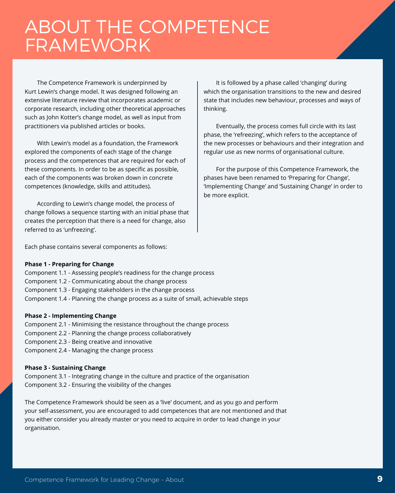# <span id="page-8-0"></span>ABOUT THE COMPETENCE FRAMEWORK

The Competence Framework is underpinned by Kurt Lewin's change model. It was designed following an extensive literature review that incorporates academic or corporate research, including other theoretical approaches such as John Kotter's change model, as well as input from practitioners via published articles or books.

With Lewin's model as a foundation, the Framework explored the components of each stage of the change process and the competences that are required for each of these components. In order to be as specific as possible, each of the components was broken down in concrete competences (knowledge, skills and attitudes).

According to Lewin's change model, the process of change follows a sequence starting with an initial phase that creates the perception that there is a need for change, also referred to as 'unfreezing'.

It is followed by a phase called 'changing' during which the organisation transitions to the new and desired state that includes new behaviour, processes and ways of thinking.

Eventually, the process comes full circle with its last phase, the 'refreezing', which refers to the acceptance of the new processes or behaviours and their integration and regular use as new norms of organisational culture.

For the purpose of this Competence Framework, the phases have been renamed to 'Preparing for Change', 'Implementing Change' and 'Sustaining Change' in order to be more explicit.

Each phase contains several components as follows:

# **Phase 1 - Preparing for Change**

- Component 1.1 Assessing people's readiness for the change process
- Component 1.2 Communicating about the change process
- Component 1.3 Engaging stakeholders in the change process
- Component 1.4 Planning the change process as a suite of small, achievable steps

# **Phase 2 - Implementing Change**

- Component 2.1 Minimising the resistance throughout the change process
- Component 2.2 Planning the change process collaboratively
- Component 2.3 Being creative and innovative
- Component 2.4 Managing the change process

# **Phase 3 - Sustaining Change**

Component 3.1 - Integrating change in the culture and practice of the organisation Component 3.2 - Ensuring the visibility of the changes

The Competence Framework should be seen as a 'live' document, and as you go and perform your self-assessment, you are encouraged to add competences that are not mentioned and that you either consider you already master or you need to acquire in order to lead change in your organisation.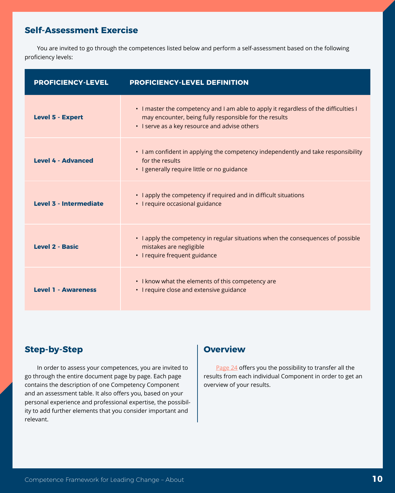# <span id="page-9-0"></span>**Self-Assessment Exercise**

You are invited to go through the competences listed below and perform a self-assessment based on the following proficiency levels:

| <b>PROFICIENCY-LEVEL</b>      | <b>PROFICIENCY-LEVEL DEFINITION</b>                                                                                                                                                             |
|-------------------------------|-------------------------------------------------------------------------------------------------------------------------------------------------------------------------------------------------|
| <b>Level 5 - Expert</b>       | • I master the competency and I am able to apply it regardless of the difficulties I<br>may encounter, being fully responsible for the results<br>• I serve as a key resource and advise others |
| <b>Level 4 - Advanced</b>     | • I am confident in applying the competency independently and take responsibility<br>for the results<br>• I generally require little or no guidance                                             |
| <b>Level 3 - Intermediate</b> | • I apply the competency if required and in difficult situations<br>• I require occasional guidance                                                                                             |
| <b>Level 2 - Basic</b>        | • I apply the competency in regular situations when the consequences of possible<br>mistakes are negligible<br>· I require frequent guidance                                                    |
| <b>Level 1 - Awareness</b>    | • I know what the elements of this competency are<br>• I require close and extensive guidance                                                                                                   |

# **Step-by-Step**

In order to assess your competences, you are invited to go through the entire document page by page. Each page contains the description of one Competency Component and an assessment table. It also offers you, based on your personal experience and professional expertise, the possibility to add further elements that you consider important and relevant.

# **Overview**

[Page 24](#page-23-0) offers you the possibility to transfer all the results from each individual Component in order to get an overview of your results.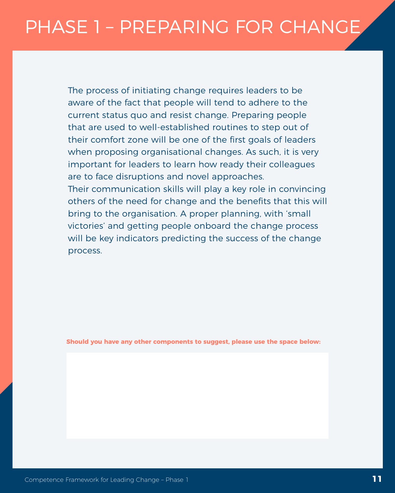# <span id="page-10-0"></span>PHASE 1 – PREPARING FOR CHANGE

The process of initiating change requires leaders to be aware of the fact that people will tend to adhere to the current status quo and resist change. Preparing people that are used to well-established routines to step out of their comfort zone will be one of the first goals of leaders when proposing organisational changes. As such, it is very important for leaders to learn how ready their colleagues are to face disruptions and novel approaches. Their communication skills will play a key role in convincing others of the need for change and the benefits that this will bring to the organisation. A proper planning, with 'small

victories' and getting people onboard the change process will be key indicators predicting the success of the change process.

**Should you have any other components to suggest, please use the space below:**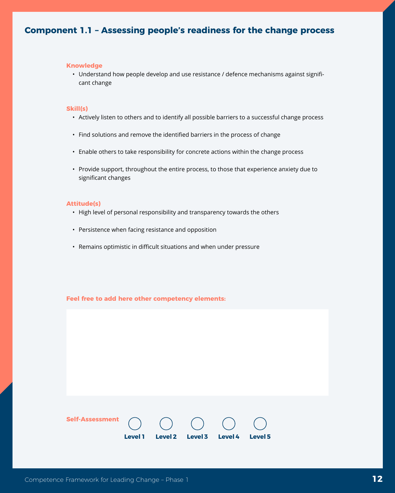# <span id="page-11-0"></span>**Component 1.1 – Assessing people's readiness for the change process**

#### **Knowledge**

• Understand how people develop and use resistance / defence mechanisms against significant change

#### **Skill(s)**

- Actively listen to others and to identify all possible barriers to a successful change process
- Find solutions and remove the identified barriers in the process of change
- Enable others to take responsibility for concrete actions within the change process
- Provide support, throughout the entire process, to those that experience anxiety due to significant changes

## **Attitude(s)**

- High level of personal responsibility and transparency towards the others
- Persistence when facing resistance and opposition
- Remains optimistic in difficult situations and when under pressure

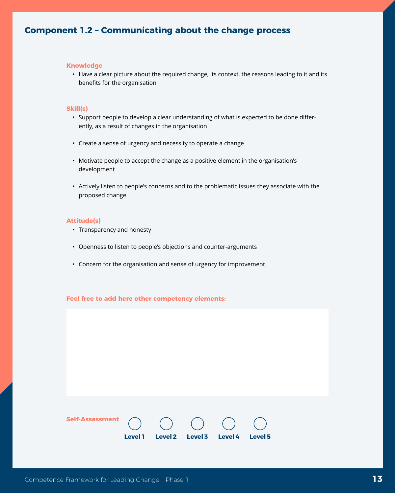# <span id="page-12-0"></span>**Component 1.2 – Communicating about the change process**

#### **Knowledge**

• Have a clear picture about the required change, its context, the reasons leading to it and its benefits for the organisation

#### **Skill(s)**

- Support people to develop a clear understanding of what is expected to be done differently, as a result of changes in the organisation
- Create a sense of urgency and necessity to operate a change
- Motivate people to accept the change as a positive element in the organisation's development
- Actively listen to people's concerns and to the problematic issues they associate with the proposed change

#### **Attitude(s)**

- Transparency and honesty
- Openness to listen to people's objections and counter-arguments
- Concern for the organisation and sense of urgency for improvement

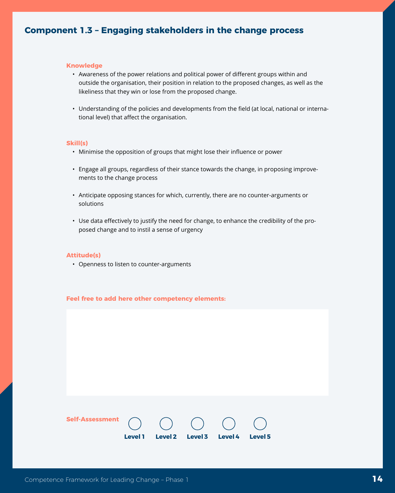# <span id="page-13-0"></span>**Component 1.3 – Engaging stakeholders in the change process**

### **Knowledge**

- Awareness of the power relations and political power of different groups within and outside the organisation, their position in relation to the proposed changes, as well as the likeliness that they win or lose from the proposed change.
- Understanding of the policies and developments from the field (at local, national or international level) that affect the organisation.

#### **Skill(s)**

- Minimise the opposition of groups that might lose their influence or power
- Engage all groups, regardless of their stance towards the change, in proposing improvements to the change process
- Anticipate opposing stances for which, currently, there are no counter-arguments or solutions
- Use data effectively to justify the need for change, to enhance the credibility of the proposed change and to instil a sense of urgency

## **Attitude(s)**

• Openness to listen to counter-arguments

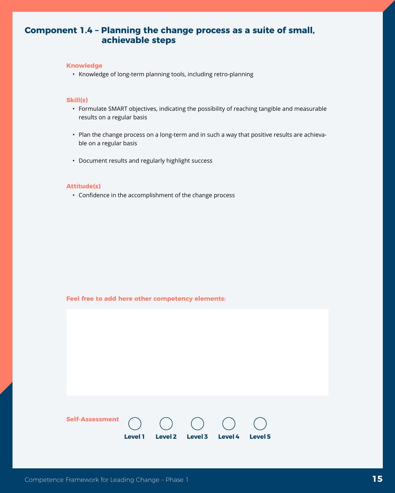# <span id="page-14-0"></span>**Component 1.4 – Planning the change process as a suite of small, achievable steps**

### **Knowledge**

• Knowledge of long-term planning tools, including retro-planning

# **Skill(s)**

- Formulate SMART objectives, indicating the possibility of reaching tangible and measurable results on a regular basis
- Plan the change process on a long-term and in such a way that positive results are achievable on a regular basis
- Document results and regularly highlight success

## **Attitude(s)**

• Confidence in the accomplishment of the change process

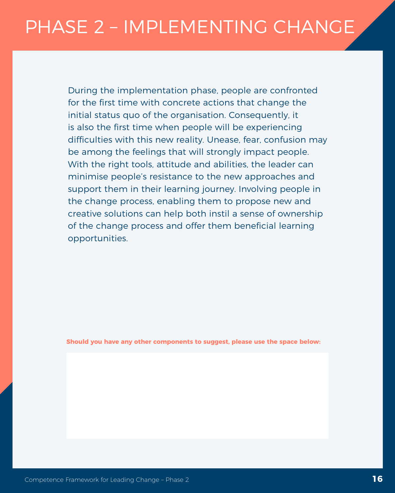# <span id="page-15-0"></span>PHASE 2 – IMPLEMENTING CHANGE

During the implementation phase, people are confronted for the first time with concrete actions that change the initial status quo of the organisation. Consequently, it is also the first time when people will be experiencing difficulties with this new reality. Unease, fear, confusion may be among the feelings that will strongly impact people. With the right tools, attitude and abilities, the leader can minimise people's resistance to the new approaches and support them in their learning journey. Involving people in the change process, enabling them to propose new and creative solutions can help both instil a sense of ownership of the change process and offer them beneficial learning opportunities.

**Should you have any other components to suggest, please use the space below:**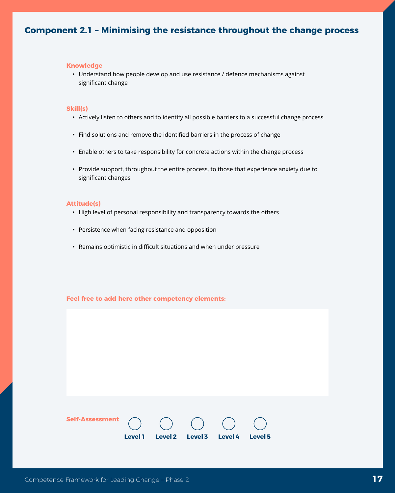# <span id="page-16-0"></span>**Component 2.1 – Minimising the resistance throughout the change process**

#### **Knowledge**

• Understand how people develop and use resistance / defence mechanisms against significant change

### **Skill(s)**

- Actively listen to others and to identify all possible barriers to a successful change process
- Find solutions and remove the identified barriers in the process of change
- Enable others to take responsibility for concrete actions within the change process
- Provide support, throughout the entire process, to those that experience anxiety due to significant changes

## **Attitude(s)**

- High level of personal responsibility and transparency towards the others
- Persistence when facing resistance and opposition
- Remains optimistic in difficult situations and when under pressure

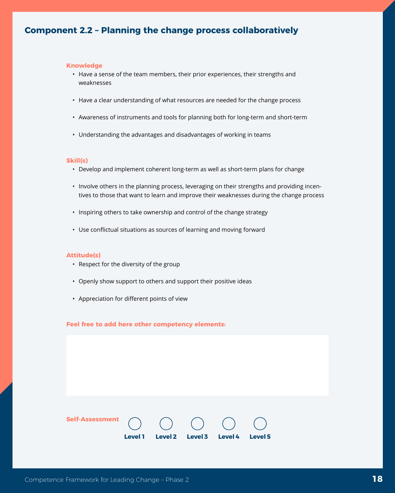# <span id="page-17-0"></span>**Component 2.2 – Planning the change process collaboratively**

#### **Knowledge**

- Have a sense of the team members, their prior experiences, their strengths and weaknesses
- Have a clear understanding of what resources are needed for the change process
- Awareness of instruments and tools for planning both for long-term and short-term
- Understanding the advantages and disadvantages of working in teams

#### **Skill(s)**

- Develop and implement coherent long-term as well as short-term plans for change
- Involve others in the planning process, leveraging on their strengths and providing incentives to those that want to learn and improve their weaknesses during the change process
- Inspiring others to take ownership and control of the change strategy
- Use conflictual situations as sources of learning and moving forward

## **Attitude(s)**

- Respect for the diversity of the group
- Openly show support to others and support their positive ideas
- Appreciation for different points of view

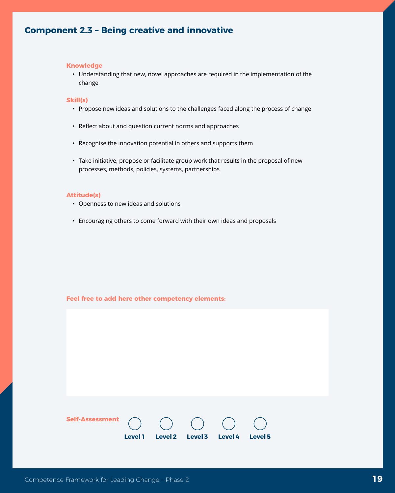# <span id="page-18-0"></span>**Component 2.3 – Being creative and innovative**

#### **Knowledge**

• Understanding that new, novel approaches are required in the implementation of the change

# **Skill(s)**

- Propose new ideas and solutions to the challenges faced along the process of change
- Reflect about and question current norms and approaches
- Recognise the innovation potential in others and supports them
- Take initiative, propose or facilitate group work that results in the proposal of new processes, methods, policies, systems, partnerships

#### **Attitude(s)**

- Openness to new ideas and solutions
- Encouraging others to come forward with their own ideas and proposals

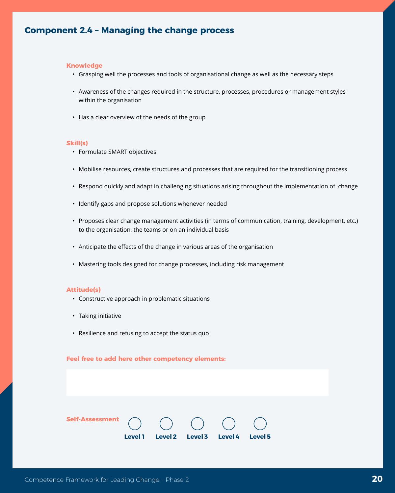# <span id="page-19-0"></span>**Component 2.4 – Managing the change process**

#### **Knowledge**

- Grasping well the processes and tools of organisational change as well as the necessary steps
- Awareness of the changes required in the structure, processes, procedures or management styles within the organisation
- Has a clear overview of the needs of the group

#### **Skill(s)**

- Formulate SMART objectives
- Mobilise resources, create structures and processes that are required for the transitioning process
- Respond quickly and adapt in challenging situations arising throughout the implementation of change
- Identify gaps and propose solutions whenever needed
- Proposes clear change management activities (in terms of communication, training, development, etc.) to the organisation, the teams or on an individual basis
- Anticipate the effects of the change in various areas of the organisation
- Mastering tools designed for change processes, including risk management

#### **Attitude(s)**

- Constructive approach in problematic situations
- Taking initiative
- Resilience and refusing to accept the status quo

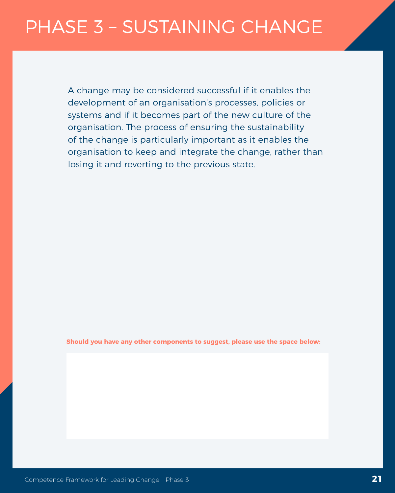<span id="page-20-0"></span>A change may be considered successful if it enables the development of an organisation's processes, policies or systems and if it becomes part of the new culture of the organisation. The process of ensuring the sustainability of the change is particularly important as it enables the organisation to keep and integrate the change, rather than losing it and reverting to the previous state.

**Should you have any other components to suggest, please use the space below:**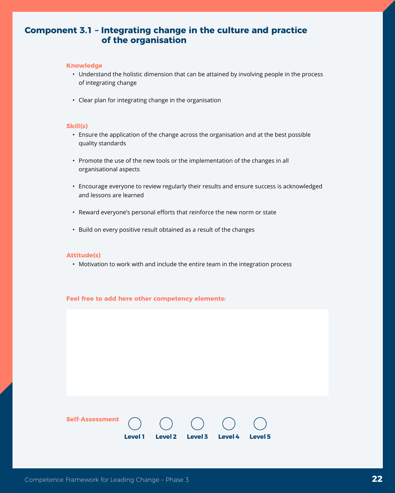# <span id="page-21-0"></span>**Component 3.1 – Integrating change in the culture and practice of the organisation**

### **Knowledge**

- Understand the holistic dimension that can be attained by involving people in the process of integrating change
- Clear plan for integrating change in the organisation

## **Skill(s)**

- Ensure the application of the change across the organisation and at the best possible quality standards
- Promote the use of the new tools or the implementation of the changes in all organisational aspects
- Encourage everyone to review regularly their results and ensure success is acknowledged and lessons are learned
- Reward everyone's personal efforts that reinforce the new norm or state
- Build on every positive result obtained as a result of the changes

## **Attitude(s)**

• Motivation to work with and include the entire team in the integration process

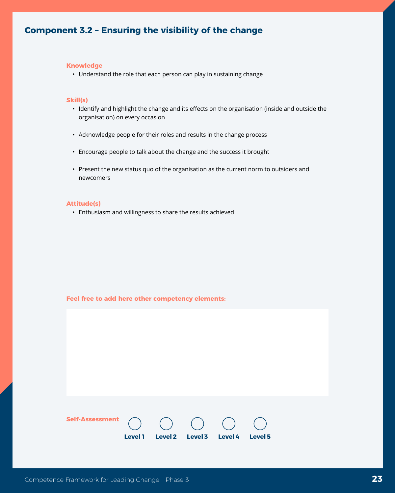# <span id="page-22-0"></span>**Component 3.2 – Ensuring the visibility of the change**

#### **Knowledge**

• Understand the role that each person can play in sustaining change

# **Skill(s)**

- Identify and highlight the change and its effects on the organisation (inside and outside the organisation) on every occasion
- Acknowledge people for their roles and results in the change process
- Encourage people to talk about the change and the success it brought
- Present the new status quo of the organisation as the current norm to outsiders and newcomers

## **Attitude(s)**

• Enthusiasm and willingness to share the results achieved

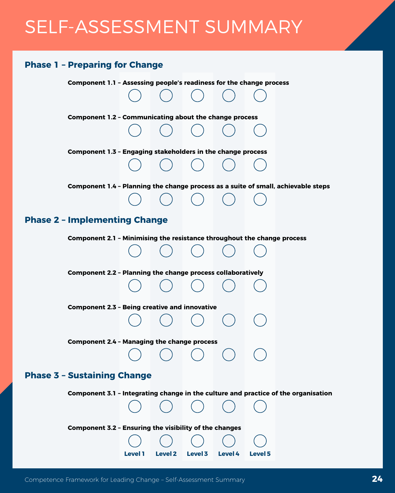# <span id="page-23-0"></span>SELF-ASSESSMENT SUMMARY

# **Phase 1 – Preparing for Change**

**Component 1.1 – Assessing people's readiness for the change process** 

**Component 1.2 – Communicating about the change process** 

**Component 1.3 – Engaging stakeholders in the change process** 

**Component 1.4 – Planning the change process as a suite of small, achievable steps** 

# **Phase 2 – Implementing Change**

**Component 2.1 – Minimising the resistance throughout the change process** 

**Component 2.2 – Planning the change process collaboratively** 

**Component 2.3 – Being creative and innovative** 

**Component 2.4 – Managing the change process** 

# **Phase 3 – Sustaining Change**

**Component 3.1 – Integrating change in the culture and practice of the organisation** 

**Level 1 Level 2 Level 3 Level 4 Level 5**

## **Component 3.2 – Ensuring the visibility of the changes**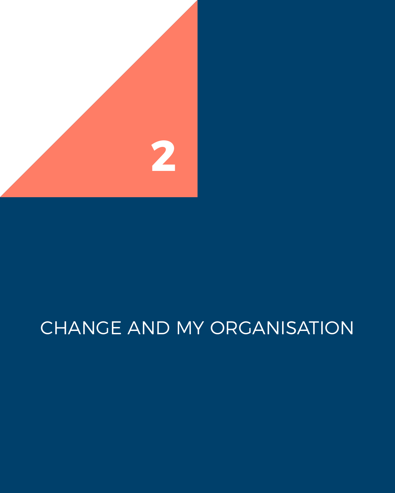<span id="page-24-0"></span>

# CHANGE AND MY ORGANISATION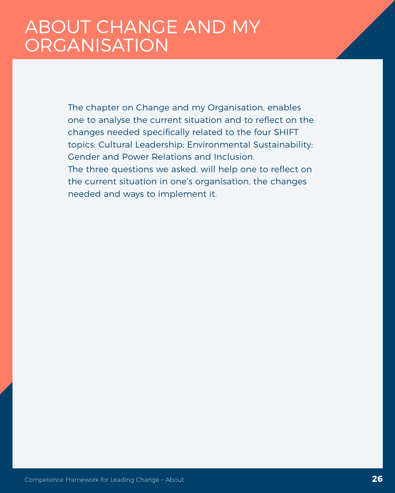# <span id="page-25-0"></span>ABOUT CHANGE AND MY **ORGANISATION**

The chapter on Change and my Organisation, enables one to analyse the current situation and to reflect on the changes needed specifically related to the four SHIFT topics: Cultural Leadership; Environmental Sustainability; Gender and Power Relations and Inclusion. The three questions we asked, will help one to reflect on the current situation in one's organisation, the changes needed and ways to implement it.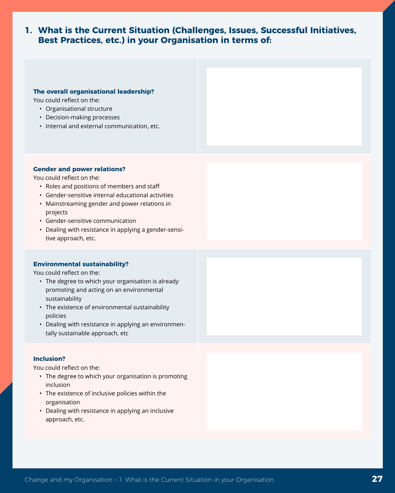# <span id="page-26-0"></span>**1. What is the Current Situation (Challenges, Issues, Successful Initiatives, Best Practices, etc.) in your Organisation in terms of:**

### **The overall organisational leadership?**

You could reflect on the:

- Organisational structure
- Decision-making processes
- Internal and external communication, etc.

# **Gender and power relations?**

You could reflect on the:

- Roles and positions of members and staff
- Gender-sensitive internal educational activities
- Mainstreaming gender and power relations in projects
- Gender-sensitive communication
- Dealing with resistance in applying a gender-sensitive approach, etc.

# **Environmental sustainability?**

You could reflect on the:

- The degree to which your organisation is already promoting and acting on an environmental sustainability
- The existence of environmental sustainability policies
- Dealing with resistance in applying an environmentally sustainable approach, etc

# **Inclusion?**

You could reflect on the:

- The degree to which your organisation is promoting inclusion
- The existence of inclusive policies within the organisation
- Dealing with resistance in applying an inclusive approach, etc.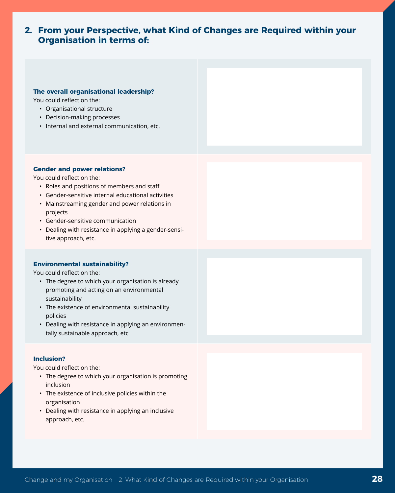# <span id="page-27-0"></span>**2. From your Perspective, what Kind of Changes are Required within your Organisation in terms of:**

## **The overall organisational leadership?**

You could reflect on the:

- Organisational structure
- Decision-making processes
- Internal and external communication, etc.

## **Gender and power relations?**

You could reflect on the:

- Roles and positions of members and staff
- Gender-sensitive internal educational activities
- Mainstreaming gender and power relations in projects
- Gender-sensitive communication
- Dealing with resistance in applying a gender-sensitive approach, etc.

# **Environmental sustainability?**

You could reflect on the:

- The degree to which your organisation is already promoting and acting on an environmental sustainability
- The existence of environmental sustainability policies
- Dealing with resistance in applying an environmentally sustainable approach, etc

## **Inclusion?**

You could reflect on the:

- The degree to which your organisation is promoting inclusion
- The existence of inclusive policies within the organisation
- Dealing with resistance in applying an inclusive approach, etc.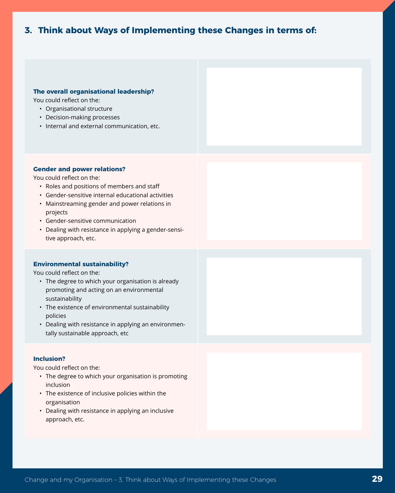# <span id="page-28-0"></span>**3. Think about Ways of Implementing these Changes in terms of:**

#### **The overall organisational leadership?**

You could reflect on the:

- Organisational structure
- Decision-making processes
- Internal and external communication, etc.

## **Gender and power relations?**

You could reflect on the:

- Roles and positions of members and staff
- Gender-sensitive internal educational activities
- Mainstreaming gender and power relations in projects
- Gender-sensitive communication
- Dealing with resistance in applying a gender-sensitive approach, etc.

# **Environmental sustainability?**

You could reflect on the:

- The degree to which your organisation is already promoting and acting on an environmental sustainability
- The existence of environmental sustainability policies
- Dealing with resistance in applying an environmentally sustainable approach, etc

## **Inclusion?**

You could reflect on the:

- The degree to which your organisation is promoting inclusion
- The existence of inclusive policies within the organisation
- Dealing with resistance in applying an inclusive approach, etc.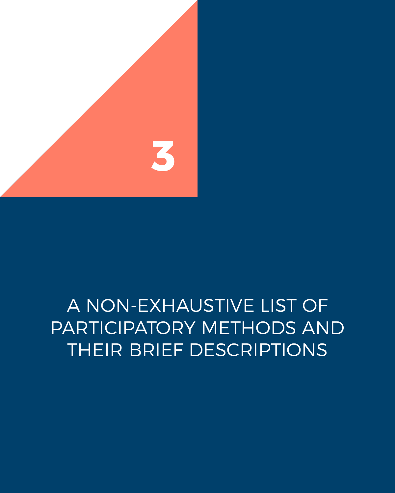<span id="page-29-0"></span>

# A NON-EXHAUSTIVE LIST OF PARTICIPATORY METHODS AND THEIR BRIEF DESCRIPTIONS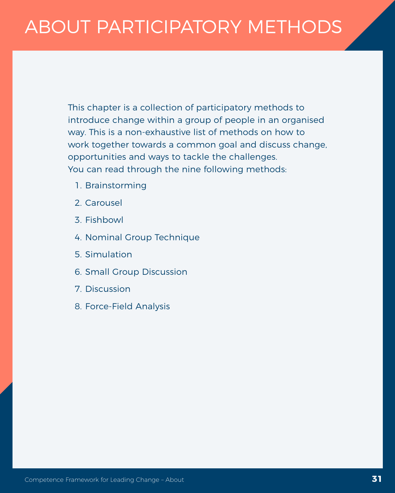# <span id="page-30-0"></span>ABOUT PARTICIPATORY METHODS

This chapter is a collection of participatory methods to introduce change within a group of people in an organised way. This is a non-exhaustive list of methods on how to work together towards a common goal and discuss change, opportunities and ways to tackle the challenges. You can read through the nine following methods:

- 1. Brainstorming
- 2. Carousel
- 3. Fishbowl
- 4. Nominal Group Technique
- 5. Simulation
- 6. Small Group Discussion
- 7. Discussion
- 8. Force-Field Analysis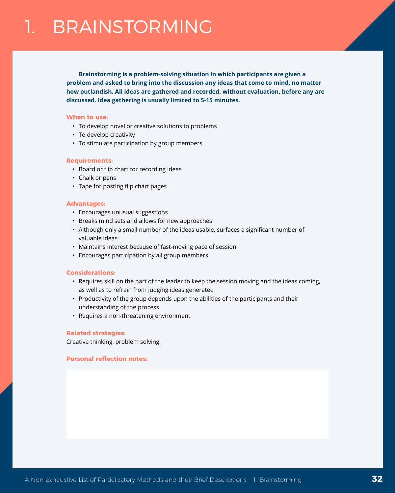<span id="page-31-0"></span>**Brainstorming is a problem-solving situation in which participants are given a problem and asked to bring into the discussion any ideas that come to mind, no matter how outlandish. All ideas are gathered and recorded, without evaluation, before any are discussed. Idea gathering is usually limited to 5-15 minutes.** 

#### **When to use:**

- To develop novel or creative solutions to problems
- To develop creativity
- To stimulate participation by group members

#### **Requirements:**

- Board or flip chart for recording ideas
- Chalk or pens
- Tape for posting flip chart pages

### **Advantages:**

- Encourages unusual suggestions
- Breaks mind sets and allows for new approaches
- Although only a small number of the ideas usable, surfaces a significant number of valuable ideas
- Maintains interest because of fast-moving pace of session
- Encourages participation by all group members

#### **Considerations:**

- Requires skill on the part of the leader to keep the session moving and the ideas coming, as well as to refrain from judging ideas generated
- Productivity of the group depends upon the abilities of the participants and their understanding of the process
- Requires a non-threatening environment

### **Related strategies:**

Creative thinking, problem solving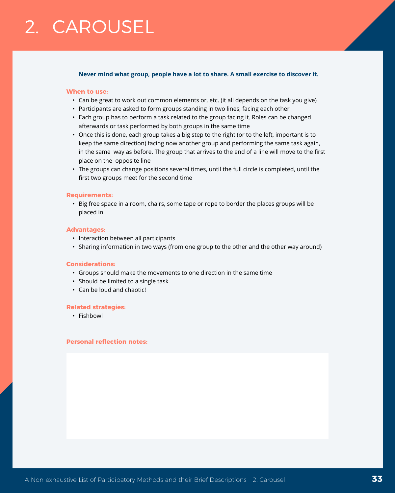# <span id="page-32-0"></span>2. CAROUSEL

### **Never mind what group, people have a lot to share. A small exercise to discover it.**

#### **When to use:**

- Can be great to work out common elements or, etc. (it all depends on the task you give)
- Participants are asked to form groups standing in two lines, facing each other
- Each group has to perform a task related to the group facing it. Roles can be changed afterwards or task performed by both groups in the same time
- Once this is done, each group takes a big step to the right (or to the left, important is to keep the same direction) facing now another group and performing the same task again, in the same way as before. The group that arrives to the end of a line will move to the first place on the opposite line
- The groups can change positions several times, until the full circle is completed, until the first two groups meet for the second time

### **Requirements:**

• Big free space in a room, chairs, some tape or rope to border the places groups will be placed in

### **Advantages:**

- Interaction between all participants
- Sharing information in two ways (from one group to the other and the other way around)

## **Considerations:**

- Groups should make the movements to one direction in the same time
- Should be limited to a single task
- Can be loud and chaotic!

#### **Related strategies:**

• Fishbowl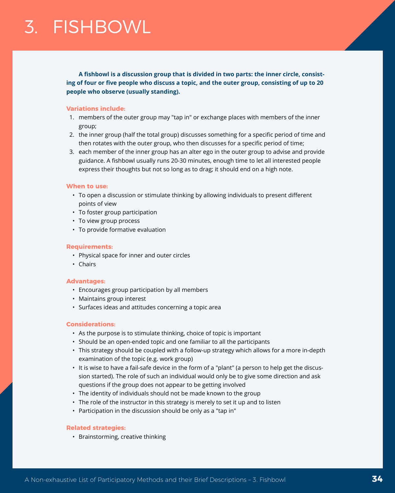<span id="page-33-0"></span>**A fishbowl is a discussion group that is divided in two parts: the inner circle, consisting of four or five people who discuss a topic, and the outer group, consisting of up to 20 people who observe (usually standing).** 

## **Variations include:**

- 1. members of the outer group may "tap in" or exchange places with members of the inner group;
- 2. the inner group (half the total group) discusses something for a specific period of time and then rotates with the outer group, who then discusses for a specific period of time;
- 3. each member of the inner group has an alter ego in the outer group to advise and provide guidance. A fishbowl usually runs 20-30 minutes, enough time to let all interested people express their thoughts but not so long as to drag; it should end on a high note.

### **When to use:**

- To open a discussion or stimulate thinking by allowing individuals to present different points of view
- To foster group participation
- To view group process
- To provide formative evaluation

#### **Requirements:**

- Physical space for inner and outer circles
- Chairs

#### **Advantages:**

- Encourages group participation by all members
- Maintains group interest
- Surfaces ideas and attitudes concerning a topic area

## **Considerations:**

- As the purpose is to stimulate thinking, choice of topic is important
- Should be an open-ended topic and one familiar to all the participants
- This strategy should be coupled with a follow-up strategy which allows for a more in-depth examination of the topic (e.g. work group)
- It is wise to have a fail-safe device in the form of a "plant" (a person to help get the discussion started). The role of such an individual would only be to give some direction and ask questions if the group does not appear to be getting involved
- The identity of individuals should not be made known to the group
- The role of the instructor in this strategy is merely to set it up and to listen
- Participation in the discussion should be only as a "tap in"

## **Related strategies:**

• Brainstorming, creative thinking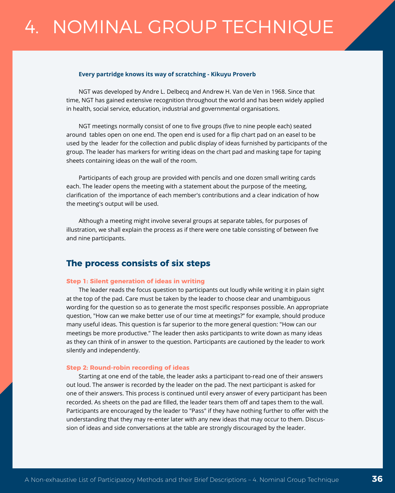# <span id="page-35-0"></span>4. NOMINAL GROUP TECHNIQUE

#### **Every partridge knows its way of scratching - Kikuyu Proverb**

NGT was developed by Andre L. Delbecq and Andrew H. Van de Ven in 1968. Since that time, NGT has gained extensive recognition throughout the world and has been widely applied in health, social service, education, industrial and governmental organisations.

NGT meetings normally consist of one to five groups (five to nine people each) seated around tables open on one end. The open end is used for a flip chart pad on an easel to be used by the leader for the collection and public display of ideas furnished by participants of the group. The leader has markers for writing ideas on the chart pad and masking tape for taping sheets containing ideas on the wall of the room.

Participants of each group are provided with pencils and one dozen small writing cards each. The leader opens the meeting with a statement about the purpose of the meeting, clarification of the importance of each member's contributions and a clear indication of how the meeting's output will be used.

Although a meeting might involve several groups at separate tables, for purposes of illustration, we shall explain the process as if there were one table consisting of between five and nine participants.

# **The process consists of six steps**

#### **Step 1: Silent generation of ideas in writing**

The leader reads the focus question to participants out loudly while writing it in plain sight at the top of the pad. Care must be taken by the leader to choose clear and unambiguous wording for the question so as to generate the most specific responses possible. An appropriate question, "How can we make better use of our time at meetings?" for example, should produce many useful ideas. This question is far superior to the more general question: "How can our meetings be more productive." The leader then asks participants to write down as many ideas as they can think of in answer to the question. Participants are cautioned by the leader to work silently and independently.

#### **Step 2: Round-robin recording of ideas**

Starting at one end of the table, the leader asks a participant to-read one of their answers out loud. The answer is recorded by the leader on the pad. The next participant is asked for one of their answers. This process is continued until every answer of every participant has been recorded. As sheets on the pad are filled, the leader tears them off and tapes them to the wall. Participants are encouraged by the leader to "Pass" if they have nothing further to offer with the understanding that they may re-enter later with any new ideas that may occur to them. Discussion of ideas and side conversations at the table are strongly discouraged by the leader.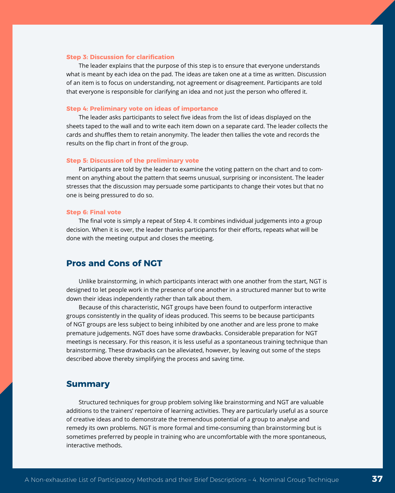#### **Step 3: Discussion for clarification**

The leader explains that the purpose of this step is to ensure that everyone understands what is meant by each idea on the pad. The ideas are taken one at a time as written. Discussion of an item is to focus on understanding, not agreement or disagreement. Participants are told that everyone is responsible for clarifying an idea and not just the person who offered it.

#### **Step 4: Preliminary vote on ideas of importance**

The leader asks participants to select five ideas from the list of ideas displayed on the sheets taped to the wall and to write each item down on a separate card. The leader collects the cards and shuffles them to retain anonymity. The leader then tallies the vote and records the results on the flip chart in front of the group.

#### **Step 5: Discussion of the preliminary vote**

Participants are told by the leader to examine the voting pattern on the chart and to comment on anything about the pattern that seems unusual, surprising or inconsistent. The leader stresses that the discussion may persuade some participants to change their votes but that no one is being pressured to do so.

#### **Step 6: Final vote**

The final vote is simply a repeat of Step 4. It combines individual judgements into a group decision. When it is over, the leader thanks participants for their efforts, repeats what will be done with the meeting output and closes the meeting.

# **Pros and Cons of NGT**

Unlike brainstorming, in which participants interact with one another from the start, NGT is designed to let people work in the presence of one another in a structured manner but to write down their ideas independently rather than talk about them.

Because of this characteristic, NGT groups have been found to outperform interactive groups consistently in the quality of ideas produced. This seems to be because participants of NGT groups are less subject to being inhibited by one another and are less prone to make premature judgements. NGT does have some drawbacks. Considerable preparation for NGT meetings is necessary. For this reason, it is less useful as a spontaneous training technique than brainstorming. These drawbacks can be alleviated, however, by leaving out some of the steps described above thereby simplifying the process and saving time.

# **Summary**

Structured techniques for group problem solving like brainstorming and NGT are valuable additions to the trainers' repertoire of learning activities. They are particularly useful as a source of creative ideas and to demonstrate the tremendous potential of a group to analyse and remedy its own problems. NGT is more formal and time-consuming than brainstorming but is sometimes preferred by people in training who are uncomfortable with the more spontaneous, interactive methods.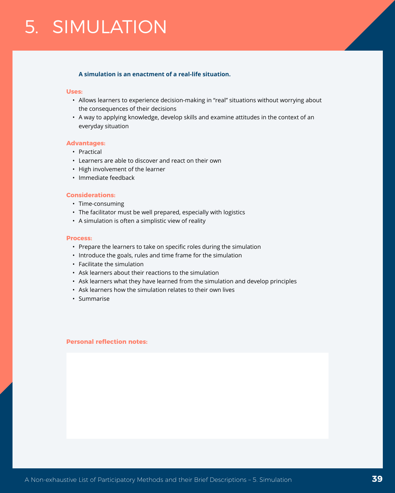# <span id="page-38-0"></span>5. SIMULATION

## **A simulation is an enactment of a real-life situation.**

#### **Uses:**

- Allows learners to experience decision-making in "real" situations without worrying about the consequences of their decisions
- A way to applying knowledge, develop skills and examine attitudes in the context of an everyday situation

### **Advantages:**

- Practical
- Learners are able to discover and react on their own
- High involvement of the learner
- Immediate feedback

#### **Considerations:**

- Time-consuming
- The facilitator must be well prepared, especially with logistics
- A simulation is often a simplistic view of reality

#### **Process:**

- Prepare the learners to take on specific roles during the simulation
- Introduce the goals, rules and time frame for the simulation
- Facilitate the simulation
- Ask learners about their reactions to the simulation
- Ask learners what they have learned from the simulation and develop principles
- Ask learners how the simulation relates to their own lives
- Summarise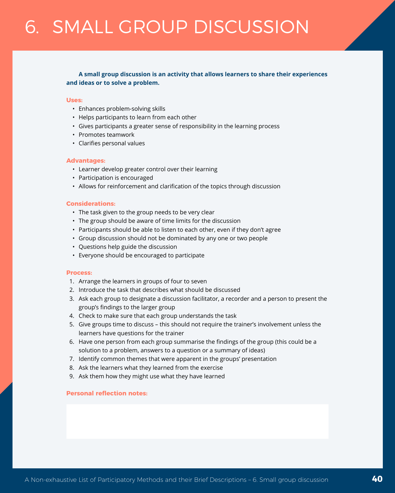# <span id="page-39-0"></span>6. SMALL GROUP DISCUSSION

# **A small group discussion is an activity that allows learners to share their experiences and ideas or to solve a problem.**

#### **Uses:**

- Enhances problem-solving skills
- Helps participants to learn from each other
- Gives participants a greater sense of responsibility in the learning process
- Promotes teamwork
- Clarifies personal values

#### **Advantages:**

- Learner develop greater control over their learning
- Participation is encouraged
- Allows for reinforcement and clarification of the topics through discussion

# **Considerations:**

- The task given to the group needs to be very clear
- The group should be aware of time limits for the discussion
- Participants should be able to listen to each other, even if they don't agree
- Group discussion should not be dominated by any one or two people
- Questions help guide the discussion
- Everyone should be encouraged to participate

#### **Process:**

- 1. Arrange the learners in groups of four to seven
- 2. Introduce the task that describes what should be discussed
- 3. Ask each group to designate a discussion facilitator, a recorder and a person to present the group's findings to the larger group
- 4. Check to make sure that each group understands the task
- 5. Give groups time to discuss this should not require the trainer's involvement unless the learners have questions for the trainer
- 6. Have one person from each group summarise the findings of the group (this could be a solution to a problem, answers to a question or a summary of ideas)
- 7. Identify common themes that were apparent in the groups' presentation
- 8. Ask the learners what they learned from the exercise
- 9. Ask them how they might use what they have learned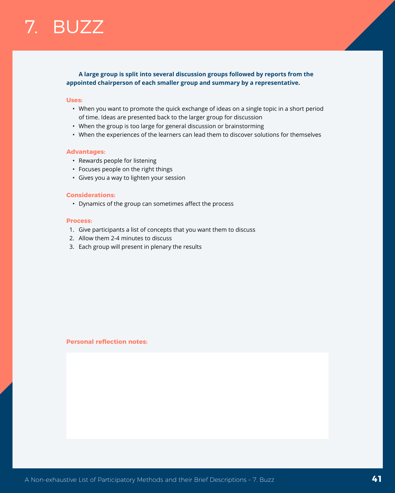# <span id="page-40-0"></span>**A large group is split into several discussion groups followed by reports from the appointed chairperson of each smaller group and summary by a representative.**

#### **Uses:**

- When you want to promote the quick exchange of ideas on a single topic in a short period of time. Ideas are presented back to the larger group for discussion
- When the group is too large for general discussion or brainstorming
- When the experiences of the learners can lead them to discover solutions for themselves

# **Advantages:**

- Rewards people for listening
- Focuses people on the right things
- Gives you a way to lighten your session

#### **Considerations:**

• Dynamics of the group can sometimes affect the process

#### **Process:**

- 1. Give participants a list of concepts that you want them to discuss
- 2. Allow them 2-4 minutes to discuss
- 3. Each group will present in plenary the results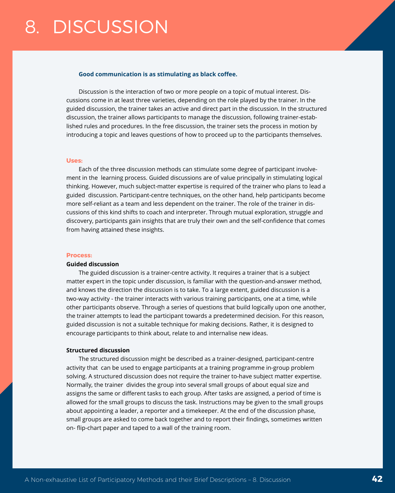#### <span id="page-41-0"></span>**Good communication is as stimulating as black coffee.**

Discussion is the interaction of two or more people on a topic of mutual interest. Discussions come in at least three varieties, depending on the role played by the trainer. In the guided discussion, the trainer takes an active and direct part in the discussion. In the structured discussion, the trainer allows participants to manage the discussion, following trainer-established rules and procedures. In the free discussion, the trainer sets the process in motion by introducing a topic and leaves questions of how to proceed up to the participants themselves.

## **Uses:**

Each of the three discussion methods can stimulate some degree of participant involvement in the learning process. Guided discussions are of value principally in stimulating logical thinking. However, much subject-matter expertise is required of the trainer who plans to lead a guided discussion. Participant-centre techniques, on the other hand, help participants become more self-reliant as a team and less dependent on the trainer. The role of the trainer in discussions of this kind shifts to coach and interpreter. Through mutual exploration, struggle and discovery, participants gain insights that are truly their own and the self-confidence that comes from having attained these insights.

### **Process:**

#### **Guided discussion**

The guided discussion is a trainer-centre activity. It requires a trainer that is a subject matter expert in the topic under discussion, is familiar with the question-and-answer method, and knows the direction the discussion is to take. To a large extent, guided discussion is a two-way activity - the trainer interacts with various training participants, one at a time, while other participants observe. Through a series of questions that build logically upon one another, the trainer attempts to lead the participant towards a predetermined decision. For this reason, guided discussion is not a suitable technique for making decisions. Rather, it is designed to encourage participants to think about, relate to and internalise new ideas.

### **Structured discussion**

The structured discussion might be described as a trainer-designed, participant-centre activity that can be used to engage participants at a training programme in-group problem solving. A structured discussion does not require the trainer to-have subject matter expertise. Normally, the trainer divides the group into several small groups of about equal size and assigns the same or different tasks to each group. After tasks are assigned, a period of time is allowed for the small groups to discuss the task. Instructions may be given to the small groups about appointing a leader, a reporter and a timekeeper. At the end of the discussion phase, small groups are asked to come back together and to report their findings, sometimes written on- flip-chart paper and taped to a wall of the training room.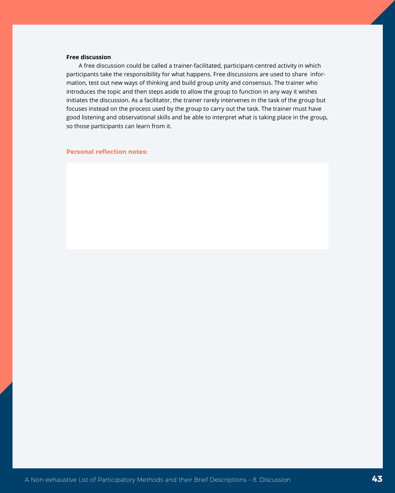### **Free discussion**

A free discussion could be called a trainer-facilitated, participant-centred activity in which participants take the responsibility for what happens. Free discussions are used to share information, test out new ways of thinking and build group unity and consensus. The trainer who introduces the topic and then steps aside to allow the group to function in any way it wishes initiates the discussion. As a facilitator, the trainer rarely intervenes in the task of the group but focuses instead on the process used by the group to carry out the task. The trainer must have good listening and observational skills and be able to interpret what is taking place in the group, so those participants can learn from it.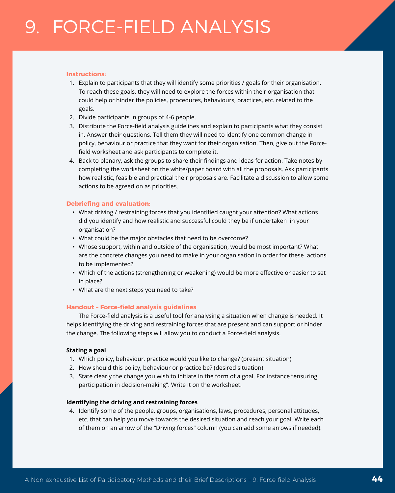### <span id="page-43-0"></span>**Instructions:**

- 1. Explain to participants that they will identify some priorities / goals for their organisation. To reach these goals, they will need to explore the forces within their organisation that could help or hinder the policies, procedures, behaviours, practices, etc. related to the goals.
- 2. Divide participants in groups of 4-6 people.
- 3. Distribute the Force-field analysis guidelines and explain to participants what they consist in. Answer their questions. Tell them they will need to identify one common change in policy, behaviour or practice that they want for their organisation. Then, give out the Forcefield worksheet and ask participants to complete it.
- 4. Back to plenary, ask the groups to share their findings and ideas for action. Take notes by completing the worksheet on the white/paper board with all the proposals. Ask participants how realistic, feasible and practical their proposals are. Facilitate a discussion to allow some actions to be agreed on as priorities.

## **Debriefing and evaluation:**

- What driving / restraining forces that you identified caught your attention? What actions did you identify and how realistic and successful could they be if undertaken in your organisation?
- What could be the major obstacles that need to be overcome?
- Whose support, within and outside of the organisation, would be most important? What are the concrete changes you need to make in your organisation in order for these actions to be implemented?
- Which of the actions (strengthening or weakening) would be more effective or easier to set in place?
- What are the next steps you need to take?

# **Handout – Force-field analysis guidelines**

The Force-field analysis is a useful tool for analysing a situation when change is needed. It helps identifying the driving and restraining forces that are present and can support or hinder the change. The following steps will allow you to conduct a Force-field analysis.

## **Stating a goal**

- 1. Which policy, behaviour, practice would you like to change? (present situation)
- 2. How should this policy, behaviour or practice be? (desired situation)
- 3. State clearly the change you wish to initiate in the form of a goal. For instance "ensuring participation in decision-making". Write it on the worksheet.

## **Identifying the driving and restraining forces**

4. Identify some of the people, groups, organisations, laws, procedures, personal attitudes, etc. that can help you move towards the desired situation and reach your goal. Write each of them on an arrow of the "Driving forces" column (you can add some arrows if needed).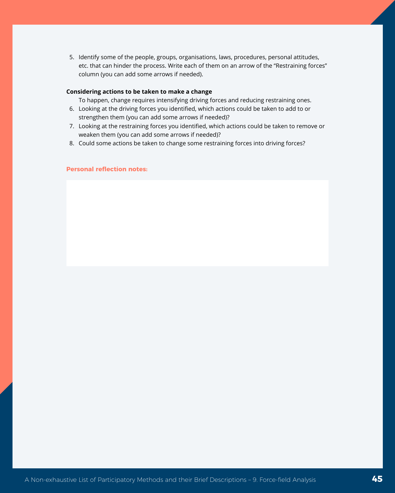5. Identify some of the people, groups, organisations, laws, procedures, personal attitudes, etc. that can hinder the process. Write each of them on an arrow of the "Restraining forces" column (you can add some arrows if needed).

### **Considering actions to be taken to make a change**

To happen, change requires intensifying driving forces and reducing restraining ones.

- 6. Looking at the driving forces you identified, which actions could be taken to add to or strengthen them (you can add some arrows if needed)?
- 7. Looking at the restraining forces you identified, which actions could be taken to remove or weaken them (you can add some arrows if needed)?
- 8. Could some actions be taken to change some restraining forces into driving forces?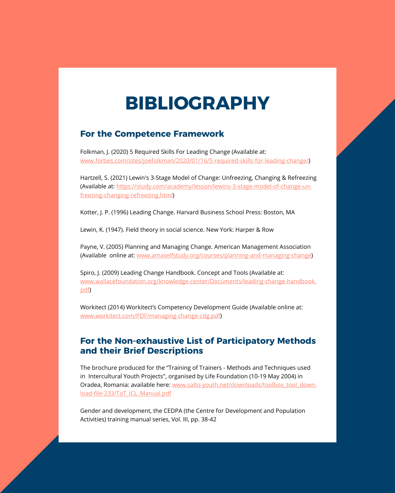# **BIBLIOGRAPHY**

# <span id="page-45-0"></span>**For the Competence Framework**

Folkman, J. (2020) 5 Required Skills For Leading Change (Available at: [www.forbes.com/sites/joefolkman/2020/01/16/5-required-skills-for-leading-change/](https://www.forbes.com/sites/joefolkman/2020/01/16/5-required-skills-for-leading-change/))

Hartzell, S. (2021) Lewin's 3-Stage Model of Change: Unfreezing, Changing & Refreezing (Available at: [https://study.com/academy/lesson/lewins-3-stage-model-of-change-un](https://study.com/academy/lesson/lewins-3-stage-model-of-change-unfreezing-changing-refreezing.html)[freezing-changing-refreezing.html\)](https://study.com/academy/lesson/lewins-3-stage-model-of-change-unfreezing-changing-refreezing.html)

Kotter, J. P. (1996) Leading Change. Harvard Business School Press: Boston, MA

Lewin, K. (1947). Field theory in social science. New York: Harper & Row

Payne, V. (2005) Planning and Managing Change. American Management Association (Available online at: [www.amaselfstudy.org/courses/planning-and-managing-change](https://www.amaselfstudy.org/courses/planning-and-managing-change))

Spiro, J. (2009) Leading Change Handbook. Concept and Tools (Available at: [www.wallacefoundation.org/knowledge-center/Documents/leading-change-handbook.](https://www.wallacefoundation.org/knowledge-center/Documents/leading-change-handbook.pdf) [pdf\)](https://www.wallacefoundation.org/knowledge-center/Documents/leading-change-handbook.pdf)

Workitect (2014) Workitect's Competency Development Guide (Available online at: [www.workitect.com/PDF/managing-change-cdg.pdf\)](https://www.workitect.com/PDF/managing-change-cdg.pdf)

# **For the Non-exhaustive List of Participatory Methods and their Brief Descriptions**

The brochure produced for the "Training of Trainers - Methods and Techniques used in Intercultural Youth Projects", organised by Life Foundation (10-19 May 2004) in Oradea, Romania: available here: [www.salto-youth.net/downloads/toolbox\\_tool\\_down](https://www.salto-youth.net/downloads/toolbox_tool_download-file-233/ToT_ICL_Manual.pdf)[load-file-233/ToT\\_ICL\\_Manual.pdf](https://www.salto-youth.net/downloads/toolbox_tool_download-file-233/ToT_ICL_Manual.pdf)

Gender and development, the CEDPA (the Centre for Development and Population Activities) training manual series, Vol. III, pp. 38-42